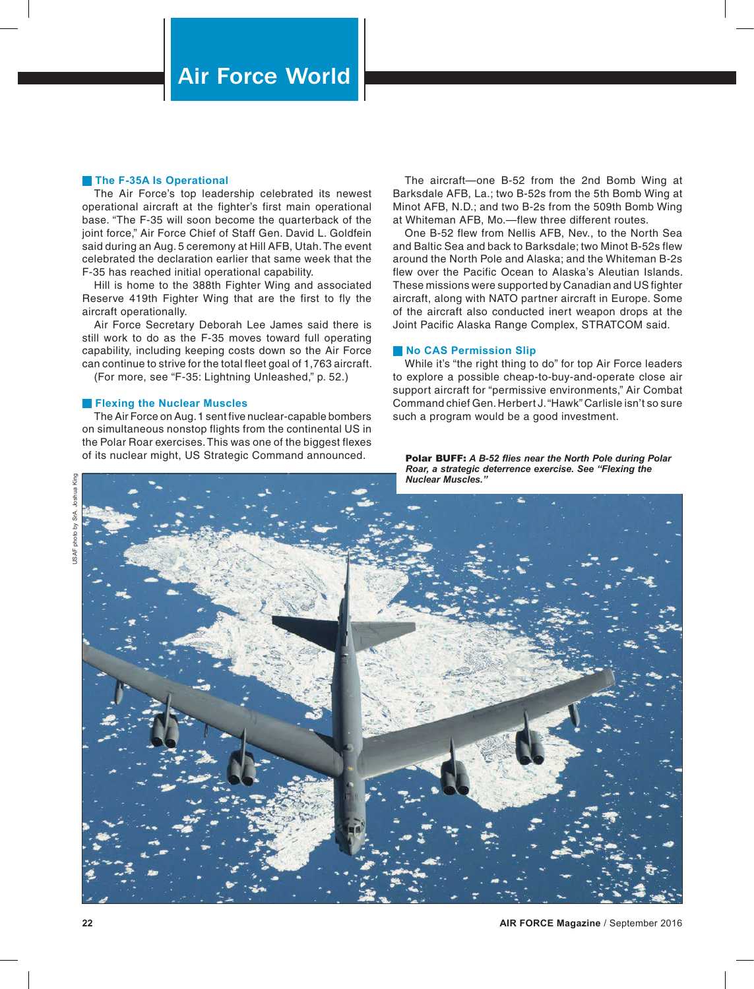## **The F-35A Is Operational**

The Air Force's top leadership celebrated its newest operational aircraft at the fighter's first main operational base. "The F-35 will soon become the quarterback of the joint force," Air Force Chief of Staff Gen. David L. Goldfein said during an Aug. 5 ceremony at Hill AFB, Utah. The event celebrated the declaration earlier that same week that the F-35 has reached initial operational capability.

Hill is home to the 388th Fighter Wing and associated Reserve 419th Fighter Wing that are the first to fly the aircraft operationally.

Air Force Secretary Deborah Lee James said there is still work to do as the F-35 moves toward full operating capability, including keeping costs down so the Air Force can continue to strive for the total fleet goal of 1,763 aircraft.

(For more, see "F-35: Lightning Unleashed," p. 52.)

## **Flexing the Nuclear Muscles**

The Air Force on Aug. 1 sent five nuclear-capable bombers on simultaneous nonstop flights from the continental US in the Polar Roar exercises. This was one of the biggest flexes of its nuclear might, US Strategic Command announced.

The aircraft—one B-52 from the 2nd Bomb Wing at Barksdale AFB, La.; two B-52s from the 5th Bomb Wing at Minot AFB, N.D.; and two B-2s from the 509th Bomb Wing at Whiteman AFB, Mo.—flew three different routes.

One B-52 flew from Nellis AFB, Nev., to the North Sea and Baltic Sea and back to Barksdale; two Minot B-52s flew around the North Pole and Alaska; and the Whiteman B-2s flew over the Pacific Ocean to Alaska's Aleutian Islands. These missions were supported by Canadian and US fighter aircraft, along with NATO partner aircraft in Europe. Some of the aircraft also conducted inert weapon drops at the Joint Pacific Alaska Range Complex, STRATCOM said.

## **No CAS Permission Slip**

While it's "the right thing to do" for top Air Force leaders to explore a possible cheap-to-buy-and-operate close air support aircraft for "permissive environments," Air Combat Command chief Gen. Herbert J. "Hawk" Carlisle isn't so sure such a program would be a good investment.

#### Polar BUFF: *A B-52 flies near the North Pole during Polar Roar, a strategic deterrence exercise. See "Flexing the Nuclear Muscles."*



USAF photo by SrA. Joshua King

photo by SrA.

**USAF** 

Joshua King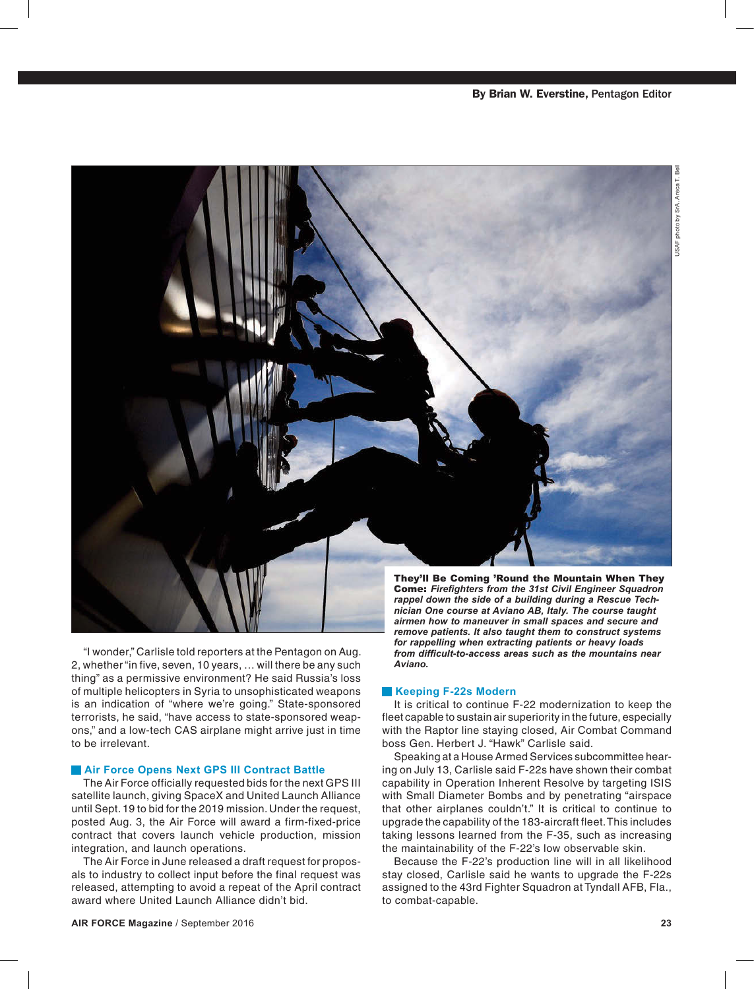

"I wonder," Carlisle told reporters at the Pentagon on Aug. 2, whether "in five, seven, 10 years, … will there be any such thing" as a permissive environment? He said Russia's loss of multiple helicopters in Syria to unsophisticated weapons is an indication of "where we're going." State-sponsored terrorists, he said, "have access to state-sponsored weapons," and a low-tech CAS airplane might arrive just in time to be irrelevant.

## **Air Force Opens Next GPS III Contract Battle**

The Air Force officially requested bids for the next GPS III satellite launch, giving SpaceX and United Launch Alliance until Sept. 19 to bid for the 2019 mission. Under the request, posted Aug. 3, the Air Force will award a firm-fixed-price contract that covers launch vehicle production, mission integration, and launch operations.

The Air Force in June released a draft request for proposals to industry to collect input before the final request was released, attempting to avoid a repeat of the April contract award where United Launch Alliance didn't bid.

*airmen how to maneuver in small spaces and secure and remove patients. It also taught them to construct systems for rappelling when extracting patients or heavy loads from difficult-to-access areas such as the mountains near Aviano.*

## **Keeping F-22s Modern**

It is critical to continue F-22 modernization to keep the fleet capable to sustain air superiority in the future, especially with the Raptor line staying closed, Air Combat Command boss Gen. Herbert J. "Hawk" Carlisle said.

Speaking at a House Armed Services subcommittee hearing on July 13, Carlisle said F-22s have shown their combat capability in Operation Inherent Resolve by targeting ISIS with Small Diameter Bombs and by penetrating "airspace that other airplanes couldn't." It is critical to continue to upgrade the capability of the 183-aircraft fleet. This includes taking lessons learned from the F-35, such as increasing the maintainability of the F-22's low observable skin.

Because the F-22's production line will in all likelihood stay closed, Carlisle said he wants to upgrade the F-22s assigned to the 43rd Fighter Squadron at Tyndall AFB, Fla., to combat-capable.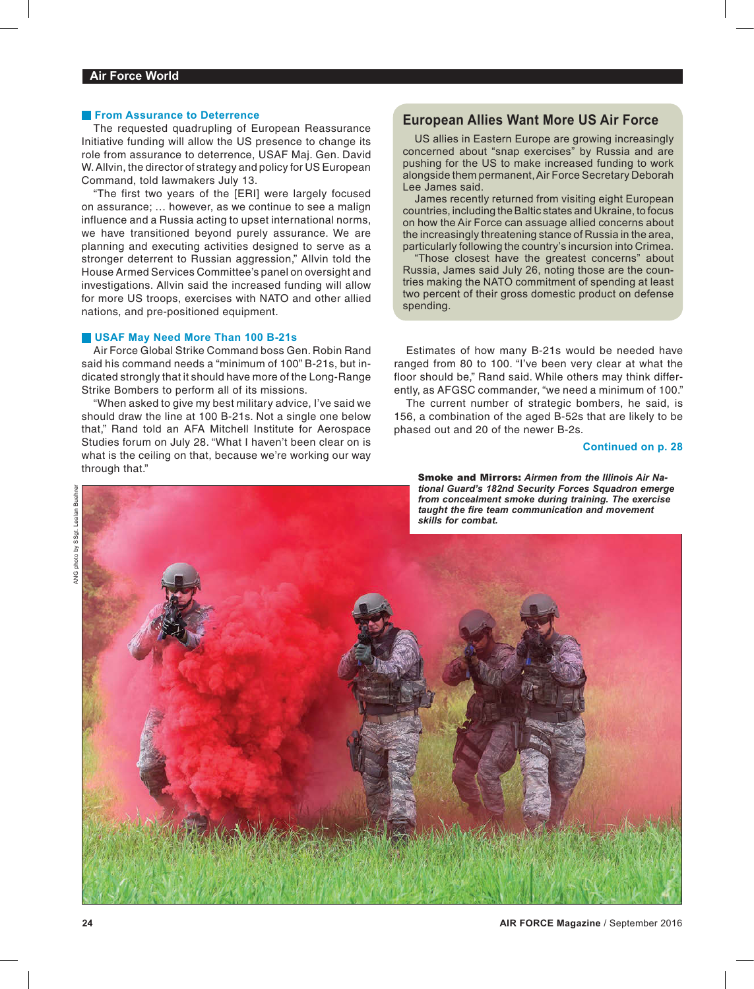## **From Assurance to Deterrence**

The requested quadrupling of European Reassurance Initiative funding will allow the US presence to change its role from assurance to deterrence, USAF Maj. Gen. David W. Allvin, the director of strategy and policy for US European Command, told lawmakers July 13.

"The first two years of the [ERI] were largely focused on assurance; … however, as we continue to see a malign influence and a Russia acting to upset international norms, we have transitioned beyond purely assurance. We are planning and executing activities designed to serve as a stronger deterrent to Russian aggression," Allvin told the House Armed Services Committee's panel on oversight and investigations. Allvin said the increased funding will allow for more US troops, exercises with NATO and other allied nations, and pre-positioned equipment.

## **USAF May Need More Than 100 B-21s**

Air Force Global Strike Command boss Gen. Robin Rand said his command needs a "minimum of 100" B-21s, but indicated strongly that it should have more of the Long-Range Strike Bombers to perform all of its missions.

"When asked to give my best military advice, I've said we should draw the line at 100 B-21s. Not a single one below that," Rand told an AFA Mitchell Institute for Aerospace Studies forum on July 28. "What I haven't been clear on is what is the ceiling on that, because we're working our way through that."<br>
Smoke and Mirrors: Airmen from the Illinois Air Na-

## **European Allies Want More US Air Force**

US allies in Eastern Europe are growing increasingly concerned about "snap exercises" by Russia and are pushing for the US to make increased funding to work alongside them permanent, Air Force Secretary Deborah Lee James said.

James recently returned from visiting eight European countries, including the Baltic states and Ukraine, to focus on how the Air Force can assuage allied concerns about the increasingly threatening stance of Russia in the area, particularly following the country's incursion into Crimea.

"Those closest have the greatest concerns" about Russia, James said July 26, noting those are the countries making the NATO commitment of spending at least two percent of their gross domestic product on defense spending.

Estimates of how many B-21s would be needed have ranged from 80 to 100. "I've been very clear at what the floor should be," Rand said. While others may think differently, as AFGSC commander, "we need a minimum of 100."

The current number of strategic bombers, he said, is 156, a combination of the aged B-52s that are likely to be phased out and 20 of the newer B-2s.

## **Continued on p. 28**

*tional Guard's 182nd Security Forces Squadron emerge from concealment smoke during training. The exercise taught the fire team communication and movement skills for combat.*



Lealan Buehre